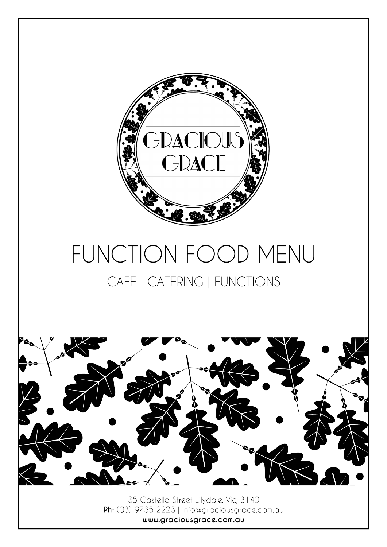

# FUNCTION FOOD MENU CAFE | CATERING | FUNCTIONS



35 Castella Street Lilydale, Vic, 3140 Ph: (03) 9735 2223 | info@graciousgrace.com.au www.graciousgrace.com.au